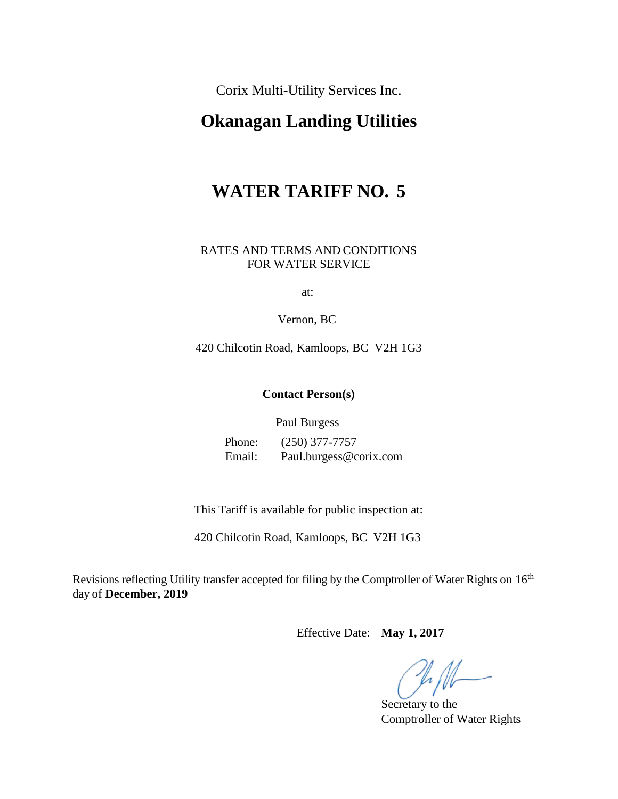Corix Multi-Utility Services Inc.

# **Okanagan Landing Utilities**

# **WATER TARIFF NO. 5**

#### RATES AND TERMS AND CONDITIONS FOR WATER SERVICE

at:

Vernon, BC

420 Chilcotin Road, Kamloops, BC V2H 1G3

#### **Contact Person(s)**

Paul Burgess

Phone: (250) 377-7757 Email: Paul.burgess@corix.com

This Tariff is available for public inspection at:

420 Chilcotin Road, Kamloops, BC V2H 1G3

Revisions reflecting Utility transfer accepted for filing by the Comptroller of Water Rights on 16<sup>th</sup> day of **December, 2019** 

Effective Date: **May 1, 2017** 

Secretary to the Comptroller of Water Rights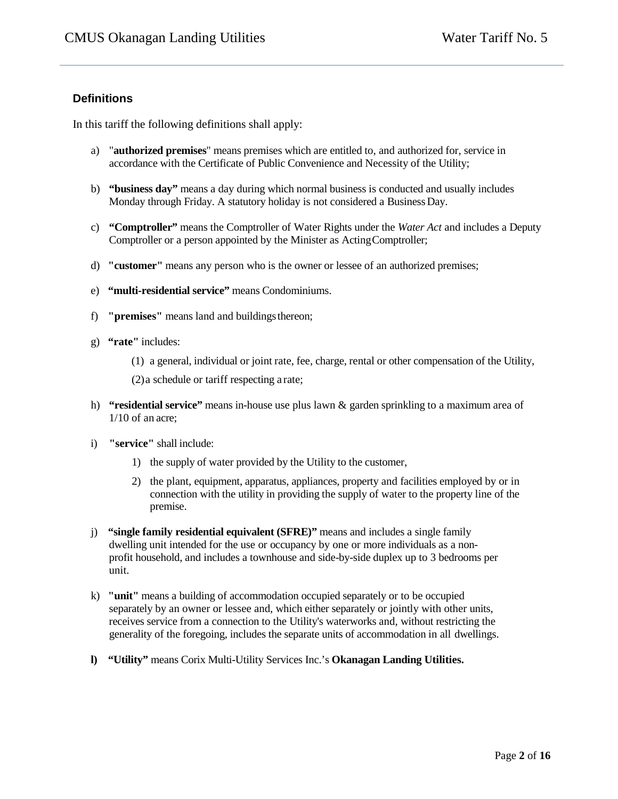#### **Definitions**

In this tariff the following definitions shall apply:

- a) "**authorized premises**" means premises which are entitled to, and authorized for, service in accordance with the Certificate of Public Convenience and Necessity of the Utility;
- b) **"business day"** means a day during which normal business is conducted and usually includes Monday through Friday. A statutory holiday is not considered a BusinessDay.
- c) **"Comptroller"** means the Comptroller of Water Rights under the *Water Act* and includes a Deputy Comptroller or a person appointed by the Minister as ActingComptroller;
- d) **"customer"** means any person who is the owner or lessee of an authorized premises;
- e) **"multi-residential service"** means Condominiums.
- f) **"premises"** means land and buildingsthereon;
- g) **"rate"** includes:
	- (1) a general, individual or joint rate, fee, charge, rental or other compensation of the Utility,

(2)a schedule or tariff respecting a rate;

- h) **"residential service"** means in-house use plus lawn & garden sprinkling to a maximum area of 1/10 of an acre;
- i) **"service"** shall include:
	- 1) the supply of water provided by the Utility to the customer,
	- 2) the plant, equipment, apparatus, appliances, property and facilities employed by or in connection with the utility in providing the supply of water to the property line of the premise.
- j) **"single family residential equivalent (SFRE)"** means and includes a single family dwelling unit intended for the use or occupancy by one or more individuals as a nonprofit household, and includes a townhouse and side-by-side duplex up to 3 bedrooms per unit.
- k) **"unit"** means a building of accommodation occupied separately or to be occupied separately by an owner or lessee and, which either separately or jointly with other units, receives service from a connection to the Utility's waterworks and, without restricting the generality of the foregoing, includes the separate units of accommodation in all dwellings.
- **l) "Utility"** means Corix Multi-Utility Services Inc.'s **Okanagan Landing Utilities.**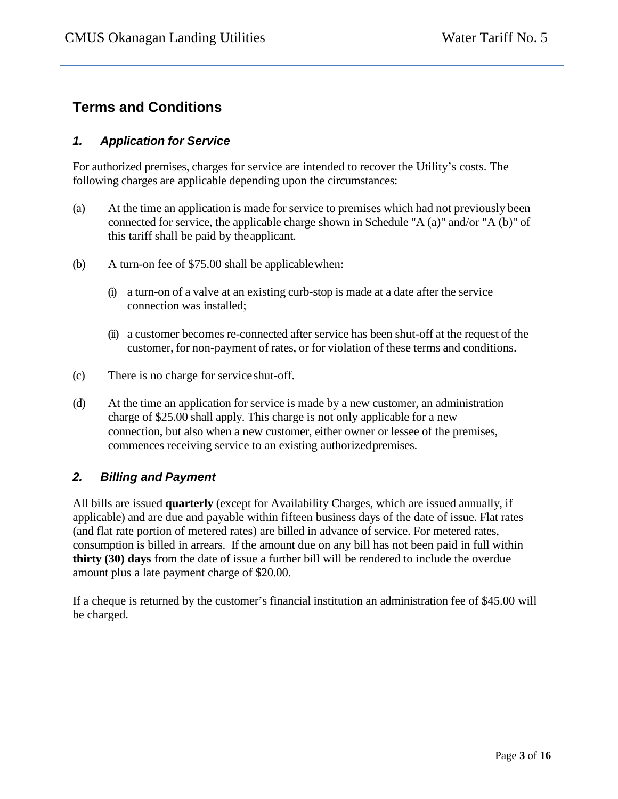# **Terms and Conditions**

# *1. Application for Service*

For authorized premises, charges for service are intended to recover the Utility's costs. The following charges are applicable depending upon the circumstances:

- (a) At the time an application is made for service to premises which had not previously been connected for service, the applicable charge shown in Schedule "A (a)" and/or "A (b)" of this tariff shall be paid by theapplicant.
- (b) A turn-on fee of \$75.00 shall be applicablewhen:
	- (i) a turn-on of a valve at an existing curb-stop is made at a date after the service connection was installed;
	- (ii) a customer becomes re-connected after service has been shut-off at the request of the customer, for non-payment of rates, or for violation of these terms and conditions.
- (c) There is no charge for serviceshut-off.
- (d) At the time an application for service is made by a new customer, an administration charge of \$25.00 shall apply. This charge is not only applicable for a new connection, but also when a new customer, either owner or lessee of the premises, commences receiving service to an existing authorizedpremises.

# *2. Billing and Payment*

All bills are issued **quarterly** (except for Availability Charges, which are issued annually, if applicable) and are due and payable within fifteen business days of the date of issue. Flat rates (and flat rate portion of metered rates) are billed in advance of service. For metered rates, consumption is billed in arrears. If the amount due on any bill has not been paid in full within **thirty (30) days** from the date of issue a further bill will be rendered to include the overdue amount plus a late payment charge of \$20.00.

If a cheque is returned by the customer's financial institution an administration fee of \$45.00 will be charged.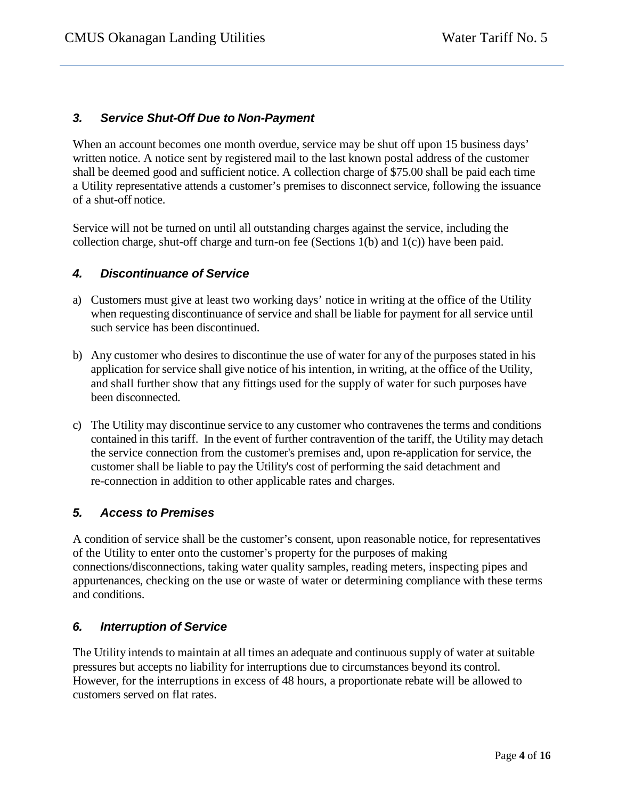## *3. Service Shut-Off Due to Non-Payment*

When an account becomes one month overdue, service may be shut off upon 15 business days' written notice. A notice sent by registered mail to the last known postal address of the customer shall be deemed good and sufficient notice. A collection charge of \$75.00 shall be paid each time a Utility representative attends a customer's premises to disconnect service, following the issuance of a shut-off notice.

Service will not be turned on until all outstanding charges against the service, including the collection charge, shut-off charge and turn-on fee (Sections 1(b) and 1(c)) have been paid.

#### *4. Discontinuance of Service*

- a) Customers must give at least two working days' notice in writing at the office of the Utility when requesting discontinuance of service and shall be liable for payment for all service until such service has been discontinued.
- b) Any customer who desires to discontinue the use of water for any of the purposes stated in his application for service shall give notice of his intention, in writing, at the office of the Utility, and shall further show that any fittings used for the supply of water for such purposes have been disconnected.
- c) The Utility may discontinue service to any customer who contravenes the terms and conditions contained in this tariff. In the event of further contravention of the tariff, the Utility may detach the service connection from the customer's premises and, upon re-application for service, the customer shall be liable to pay the Utility's cost of performing the said detachment and re-connection in addition to other applicable rates and charges.

#### *5. Access to Premises*

A condition of service shall be the customer's consent, upon reasonable notice, for representatives of the Utility to enter onto the customer's property for the purposes of making connections/disconnections, taking water quality samples, reading meters, inspecting pipes and appurtenances, checking on the use or waste of water or determining compliance with these terms and conditions.

#### *6. Interruption of Service*

The Utility intends to maintain at all times an adequate and continuous supply of water at suitable pressures but accepts no liability for interruptions due to circumstances beyond its control. However, for the interruptions in excess of 48 hours, a proportionate rebate will be allowed to customers served on flat rates.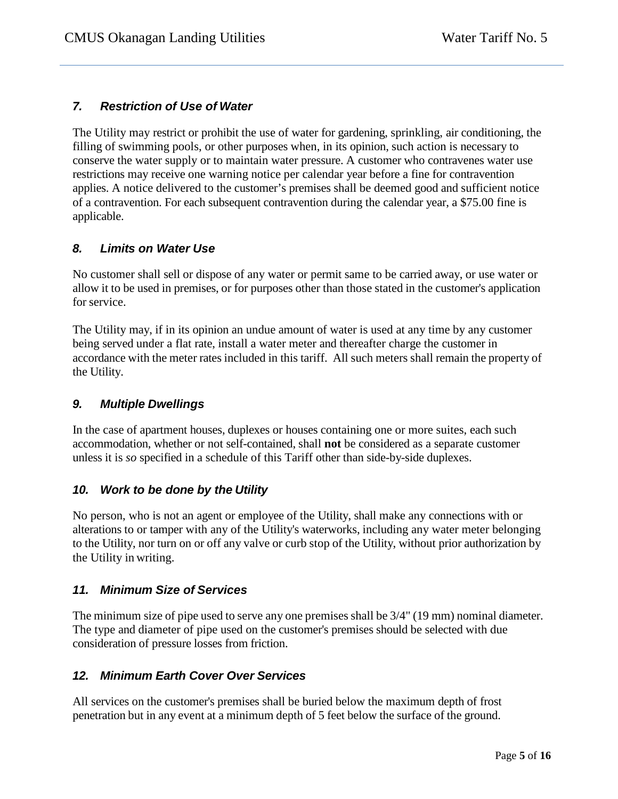# *7. Restriction of Use of Water*

The Utility may restrict or prohibit the use of water for gardening, sprinkling, air conditioning, the filling of swimming pools, or other purposes when, in its opinion, such action is necessary to conserve the water supply or to maintain water pressure. A customer who contravenes water use restrictions may receive one warning notice per calendar year before a fine for contravention applies. A notice delivered to the customer's premises shall be deemed good and sufficient notice of a contravention. For each subsequent contravention during the calendar year, a \$75.00 fine is applicable.

## *8. Limits on Water Use*

No customer shall sell or dispose of any water or permit same to be carried away, or use water or allow it to be used in premises, or for purposes other than those stated in the customer's application for service.

The Utility may, if in its opinion an undue amount of water is used at any time by any customer being served under a flat rate, install a water meter and thereafter charge the customer in accordance with the meter rates included in this tariff. All such meters shall remain the property of the Utility.

#### *9. Multiple Dwellings*

In the case of apartment houses, duplexes or houses containing one or more suites, each such accommodation, whether or not self-contained, shall **not** be considered as a separate customer unless it is *so* specified in a schedule of this Tariff other than side-by-side duplexes.

# *10. Work to be done by the Utility*

No person, who is not an agent or employee of the Utility, shall make any connections with or alterations to or tamper with any of the Utility's waterworks, including any water meter belonging to the Utility, nor turn on or off any valve or curb stop of the Utility, without prior authorization by the Utility in writing.

# *11. Minimum Size of Services*

The minimum size of pipe used to serve any one premises shall be 3/4" (19 mm) nominal diameter. The type and diameter of pipe used on the customer's premises should be selected with due consideration of pressure losses from friction.

# *12. Minimum Earth Cover Over Services*

All services on the customer's premises shall be buried below the maximum depth of frost penetration but in any event at a minimum depth of 5 feet below the surface of the ground.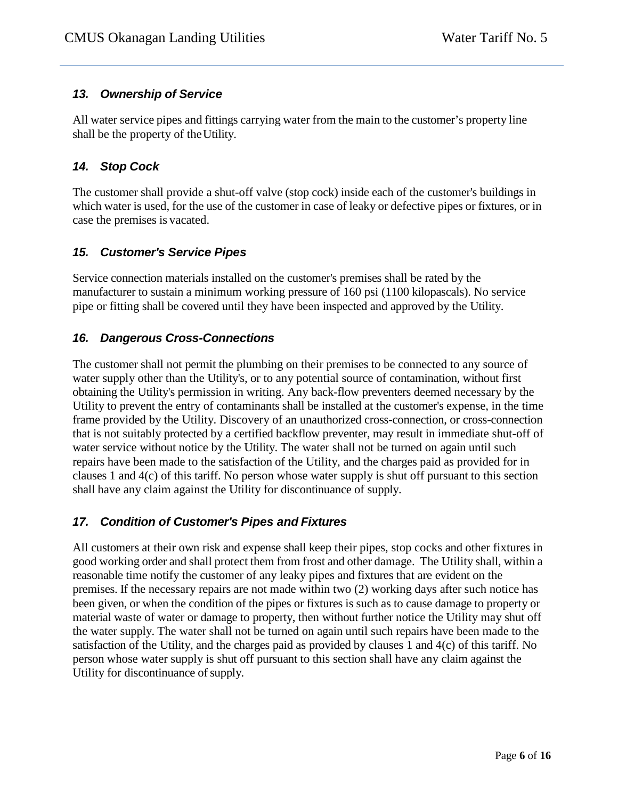# *13. Ownership of Service*

All water service pipes and fittings carrying water from the main to the customer's property line shall be the property of theUtility.

## *14. Stop Cock*

The customer shall provide a shut-off valve (stop cock) inside each of the customer's buildings in which water is used, for the use of the customer in case of leaky or defective pipes or fixtures, or in case the premises is vacated.

## *15. Customer's Service Pipes*

Service connection materials installed on the customer's premises shall be rated by the manufacturer to sustain a minimum working pressure of 160 psi (1100 kilopascals). No service pipe or fitting shall be covered until they have been inspected and approved by the Utility.

#### *16. Dangerous Cross-Connections*

The customer shall not permit the plumbing on their premises to be connected to any source of water supply other than the Utility's, or to any potential source of contamination, without first obtaining the Utility's permission in writing. Any back-flow preventers deemed necessary by the Utility to prevent the entry of contaminants shall be installed at the customer's expense, in the time frame provided by the Utility. Discovery of an unauthorized cross-connection, or cross-connection that is not suitably protected by a certified backflow preventer, may result in immediate shut-off of water service without notice by the Utility. The water shall not be turned on again until such repairs have been made to the satisfaction of the Utility, and the charges paid as provided for in clauses 1 and 4(c) of this tariff. No person whose water supply is shut off pursuant to this section shall have any claim against the Utility for discontinuance of supply.

# *17. Condition of Customer's Pipes and Fixtures*

All customers at their own risk and expense shall keep their pipes, stop cocks and other fixtures in good working order and shall protect them from frost and other damage. The Utility shall, within a reasonable time notify the customer of any leaky pipes and fixtures that are evident on the premises. If the necessary repairs are not made within two (2) working days after such notice has been given, or when the condition of the pipes or fixtures is such as to cause damage to property or material waste of water or damage to property, then without further notice the Utility may shut off the water supply. The water shall not be turned on again until such repairs have been made to the satisfaction of the Utility, and the charges paid as provided by clauses 1 and 4(c) of this tariff. No person whose water supply is shut off pursuant to this section shall have any claim against the Utility for discontinuance of supply.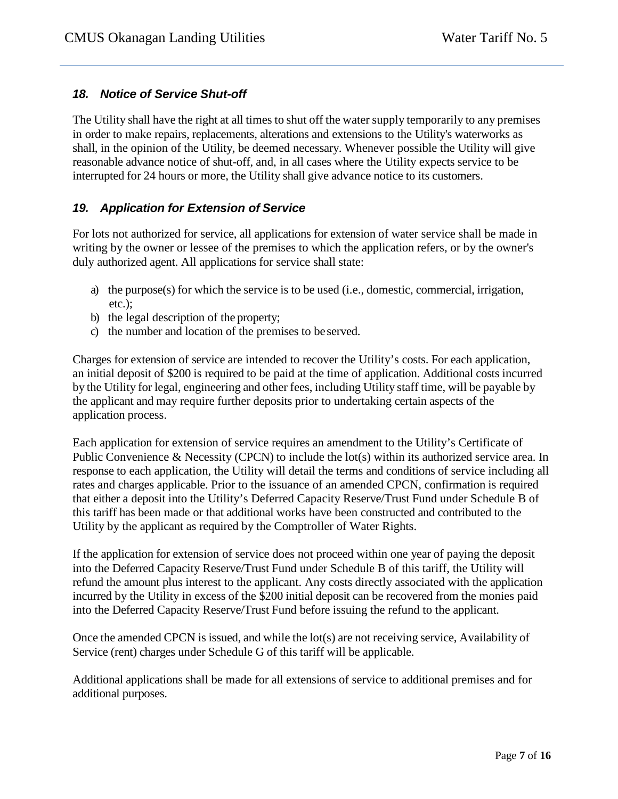## *18. Notice of Service Shut-off*

The Utility shall have the right at all times to shut off the water supply temporarily to any premises in order to make repairs, replacements, alterations and extensions to the Utility's waterworks as shall, in the opinion of the Utility, be deemed necessary. Whenever possible the Utility will give reasonable advance notice of shut-off, and, in all cases where the Utility expects service to be interrupted for 24 hours or more, the Utility shall give advance notice to its customers.

## *19. Application for Extension of Service*

For lots not authorized for service, all applications for extension of water service shall be made in writing by the owner or lessee of the premises to which the application refers, or by the owner's duly authorized agent. All applications for service shall state:

- a) the purpose(s) for which the service is to be used (i.e., domestic, commercial, irrigation, etc.);
- b) the legal description of the property;
- c) the number and location of the premises to be served.

Charges for extension of service are intended to recover the Utility's costs. For each application, an initial deposit of \$200 is required to be paid at the time of application. Additional costs incurred by the Utility for legal, engineering and other fees, including Utility staff time, will be payable by the applicant and may require further deposits prior to undertaking certain aspects of the application process.

Each application for extension of service requires an amendment to the Utility's Certificate of Public Convenience & Necessity (CPCN) to include the lot(s) within its authorized service area. In response to each application, the Utility will detail the terms and conditions of service including all rates and charges applicable. Prior to the issuance of an amended CPCN, confirmation is required that either a deposit into the Utility's Deferred Capacity Reserve/Trust Fund under Schedule B of this tariff has been made or that additional works have been constructed and contributed to the Utility by the applicant as required by the Comptroller of Water Rights.

If the application for extension of service does not proceed within one year of paying the deposit into the Deferred Capacity Reserve/Trust Fund under Schedule B of this tariff, the Utility will refund the amount plus interest to the applicant. Any costs directly associated with the application incurred by the Utility in excess of the \$200 initial deposit can be recovered from the monies paid into the Deferred Capacity Reserve/Trust Fund before issuing the refund to the applicant.

Once the amended CPCN is issued, and while the lot(s) are not receiving service, Availability of Service (rent) charges under Schedule G of this tariff will be applicable.

Additional applications shall be made for all extensions of service to additional premises and for additional purposes.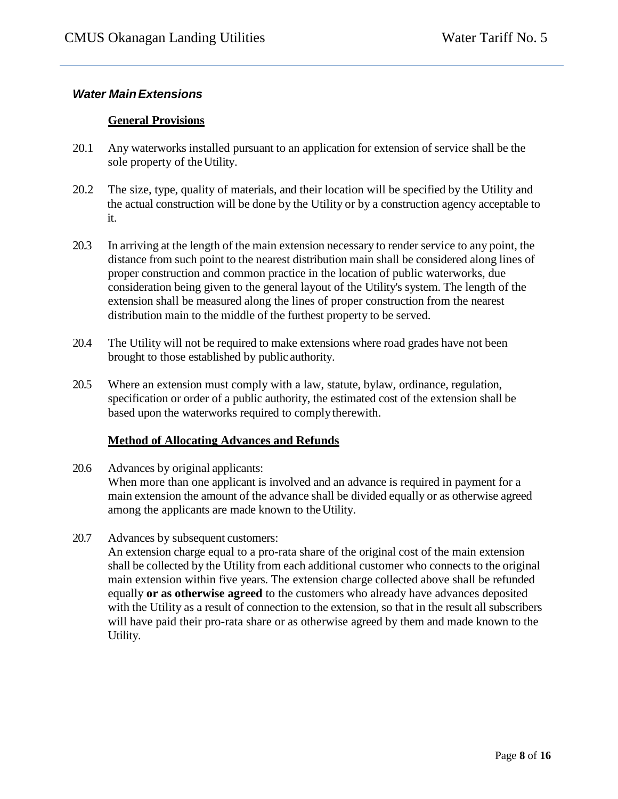#### *Water MainExtensions*

#### **General Provisions**

- 20.1 Any waterworks installed pursuant to an application for extension of service shall be the sole property of the Utility.
- 20.2 The size, type, quality of materials, and their location will be specified by the Utility and the actual construction will be done by the Utility or by a construction agency acceptable to it.
- 20.3 In arriving at the length of the main extension necessary to render service to any point, the distance from such point to the nearest distribution main shall be considered along lines of proper construction and common practice in the location of public waterworks, due consideration being given to the general layout of the Utility's system. The length of the extension shall be measured along the lines of proper construction from the nearest distribution main to the middle of the furthest property to be served.
- 20.4 The Utility will not be required to make extensions where road grades have not been brought to those established by public authority.
- 20.5 Where an extension must comply with a law, statute, bylaw*,* ordinance, regulation, specification or order of a public authority, the estimated cost of the extension shall be based upon the waterworks required to complytherewith.

#### **Method of Allocating Advances and Refunds**

20.6 Advances by original applicants:

When more than one applicant is involved and an advance is required in payment for a main extension the amount of the advance shall be divided equally or as otherwise agreed among the applicants are made known to the Utility.

20.7 Advances by subsequent customers:

An extension charge equal to a pro-rata share of the original cost of the main extension shall be collected by the Utility from each additional customer who connects to the original main extension within five years. The extension charge collected above shall be refunded equally **or as otherwise agreed** to the customers who already have advances deposited with the Utility as a result of connection to the extension, so that in the result all subscribers will have paid their pro-rata share or as otherwise agreed by them and made known to the Utility.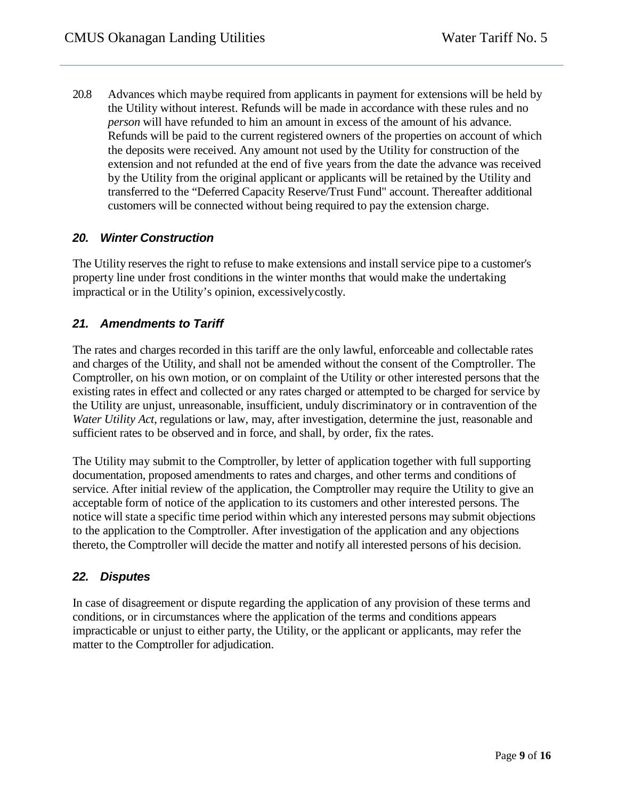20.8 Advances which maybe required from applicants in payment for extensions will be held by the Utility without interest. Refunds will be made in accordance with these rules and no *person* will have refunded to him an amount in excess of the amount of his advance. Refunds will be paid to the current registered owners of the properties on account of which the deposits were received. Any amount not used by the Utility for construction of the extension and not refunded at the end of five years from the date the advance was received by the Utility from the original applicant or applicants will be retained by the Utility and transferred to the "Deferred Capacity Reserve/Trust Fund" account. Thereafter additional customers will be connected without being required to pay the extension charge.

#### *20. Winter Construction*

The Utility reserves the right to refuse to make extensions and install service pipe to a customer's property line under frost conditions in the winter months that would make the undertaking impractical or in the Utility's opinion, excessivelycostly.

## *21. Amendments to Tariff*

The rates and charges recorded in this tariff are the only lawful, enforceable and collectable rates and charges of the Utility, and shall not be amended without the consent of the Comptroller. The Comptroller, on his own motion, or on complaint of the Utility or other interested persons that the existing rates in effect and collected or any rates charged or attempted to be charged for service by the Utility are unjust, unreasonable, insufficient, unduly discriminatory or in contravention of the *Water Utility Act*, regulations or law, may, after investigation, determine the just, reasonable and sufficient rates to be observed and in force, and shall, by order, fix the rates.

The Utility may submit to the Comptroller, by letter of application together with full supporting documentation, proposed amendments to rates and charges, and other terms and conditions of service. After initial review of the application, the Comptroller may require the Utility to give an acceptable form of notice of the application to its customers and other interested persons. The notice will state a specific time period within which any interested persons may submit objections to the application to the Comptroller. After investigation of the application and any objections thereto, the Comptroller will decide the matter and notify all interested persons of his decision.

#### *22. Disputes*

In case of disagreement or dispute regarding the application of any provision of these terms and conditions, or in circumstances where the application of the terms and conditions appears impracticable or unjust to either party, the Utility, or the applicant or applicants, may refer the matter to the Comptroller for adjudication.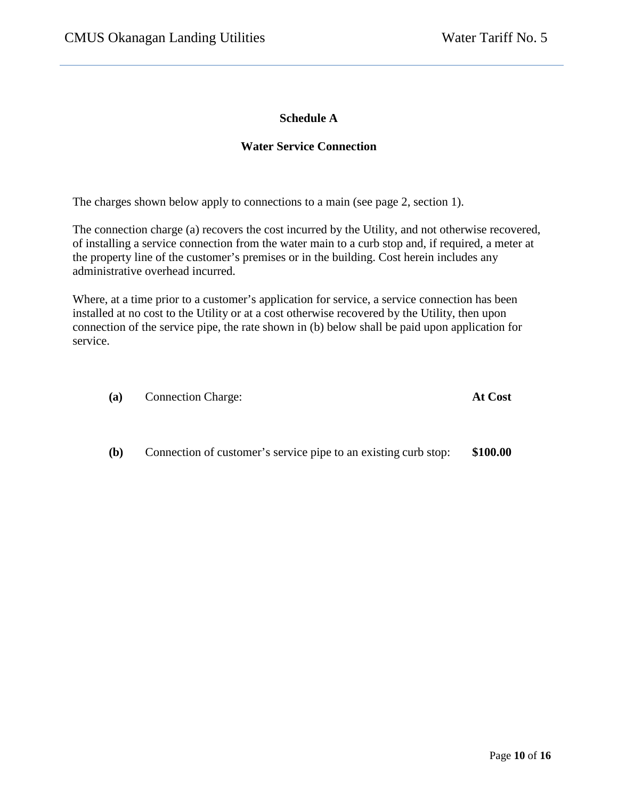#### **Schedule A**

#### **Water Service Connection**

The charges shown below apply to connections to a main (see page 2, section 1).

The connection charge (a) recovers the cost incurred by the Utility, and not otherwise recovered, of installing a service connection from the water main to a curb stop and, if required, a meter at the property line of the customer's premises or in the building. Cost herein includes any administrative overhead incurred.

Where, at a time prior to a customer's application for service, a service connection has been installed at no cost to the Utility or at a cost otherwise recovered by the Utility, then upon connection of the service pipe, the rate shown in (b) below shall be paid upon application for service.

| (a) | <b>Connection Charge:</b> | <b>At Cost</b> |
|-----|---------------------------|----------------|
|     |                           |                |

**(b)** Connection of customer's service pipe to an existing curb stop: **\$100.00**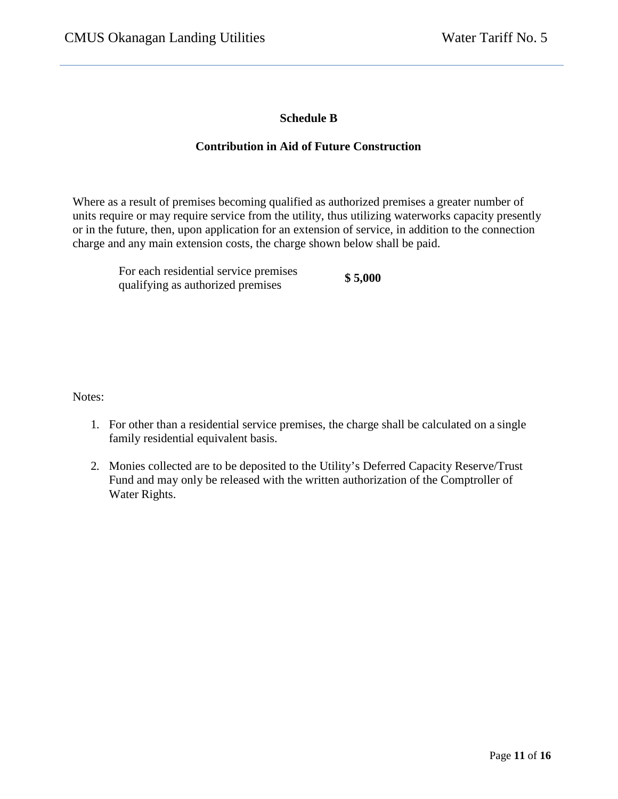## **Schedule B**

#### **Contribution in Aid of Future Construction**

Where as a result of premises becoming qualified as authorized premises a greater number of units require or may require service from the utility, thus utilizing waterworks capacity presently or in the future, then, upon application for an extension of service, in addition to the connection charge and any main extension costs, the charge shown below shall be paid.

For each residential service premises For each residential service premises **\$5,000**<br>qualifying as authorized premises

Notes:

- 1. For other than a residential service premises, the charge shall be calculated on a single family residential equivalent basis.
- 2. Monies collected are to be deposited to the Utility's Deferred Capacity Reserve/Trust Fund and may only be released with the written authorization of the Comptroller of Water Rights.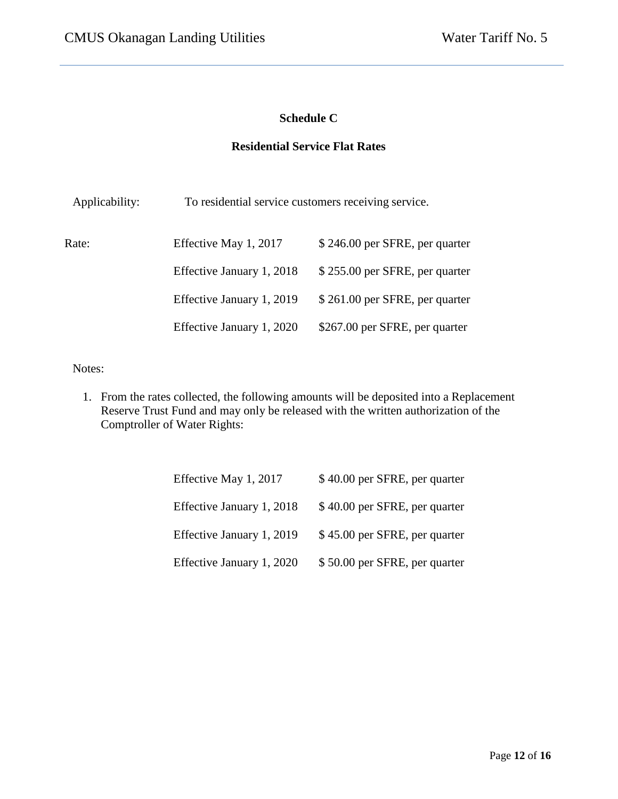## **Schedule C**

## **Residential Service Flat Rates**

| Applicability: | To residential service customers receiving service. |                                |  |
|----------------|-----------------------------------------------------|--------------------------------|--|
| Rate:          | Effective May 1, 2017                               | \$246.00 per SFRE, per quarter |  |
|                | Effective January 1, 2018                           | \$255.00 per SFRE, per quarter |  |
|                | Effective January 1, 2019                           | \$261.00 per SFRE, per quarter |  |
|                | Effective January 1, 2020                           | \$267.00 per SFRE, per quarter |  |

Notes:

1. From the rates collected, the following amounts will be deposited into a Replacement Reserve Trust Fund and may only be released with the written authorization of the Comptroller of Water Rights:

| Effective May 1, 2017     | \$40.00 per SFRE, per quarter |
|---------------------------|-------------------------------|
| Effective January 1, 2018 | \$40.00 per SFRE, per quarter |
| Effective January 1, 2019 | \$45.00 per SFRE, per quarter |
| Effective January 1, 2020 | \$50.00 per SFRE, per quarter |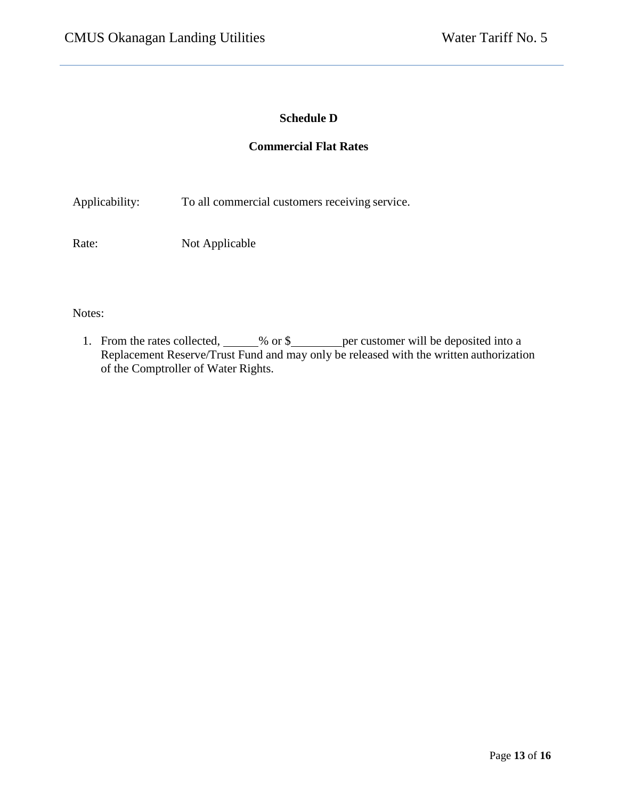# **Schedule D**

#### **Commercial Flat Rates**

Applicability: To all commercial customers receiving service.

Rate: Not Applicable

Notes:

1. From the rates collected, \_\_\_\_\_% or \$ \_\_\_\_\_\_ per customer will be deposited into a Replacement Reserve/Trust Fund and may only be released with the written authorization of the Comptroller of Water Rights.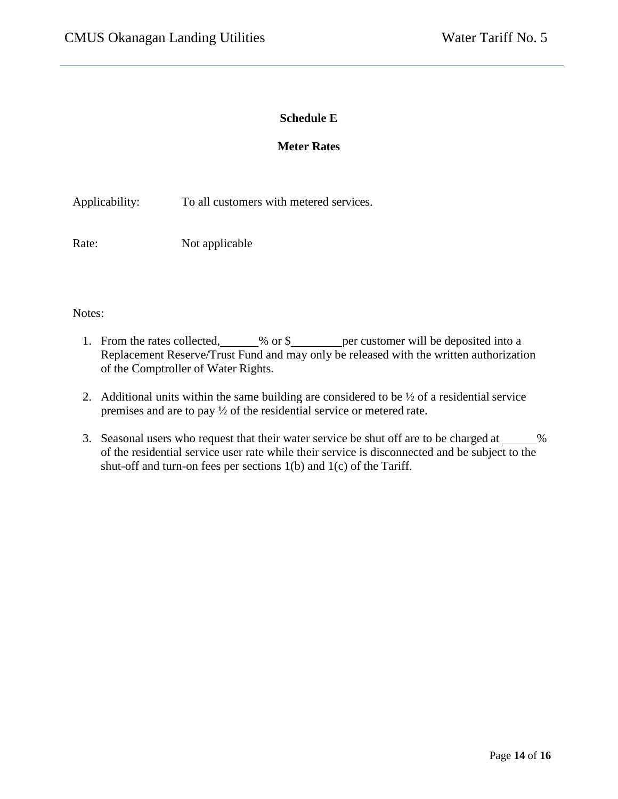#### **Schedule E**

#### **Meter Rates**

Applicability: To all customers with metered services.

Rate: Not applicable

#### Notes:

- 1. From the rates collected, 600 % per customer will be deposited into a Replacement Reserve/Trust Fund and may only be released with the written authorization of the Comptroller of Water Rights.
- 2. Additional units within the same building are considered to be  $\frac{1}{2}$  of a residential service premises and are to pay ½ of the residential service or metered rate.
- 3. Seasonal users who request that their water service be shut off are to be charged at  $\%$ of the residential service user rate while their service is disconnected and be subject to the shut-off and turn-on fees per sections 1(b) and 1(c) of the Tariff.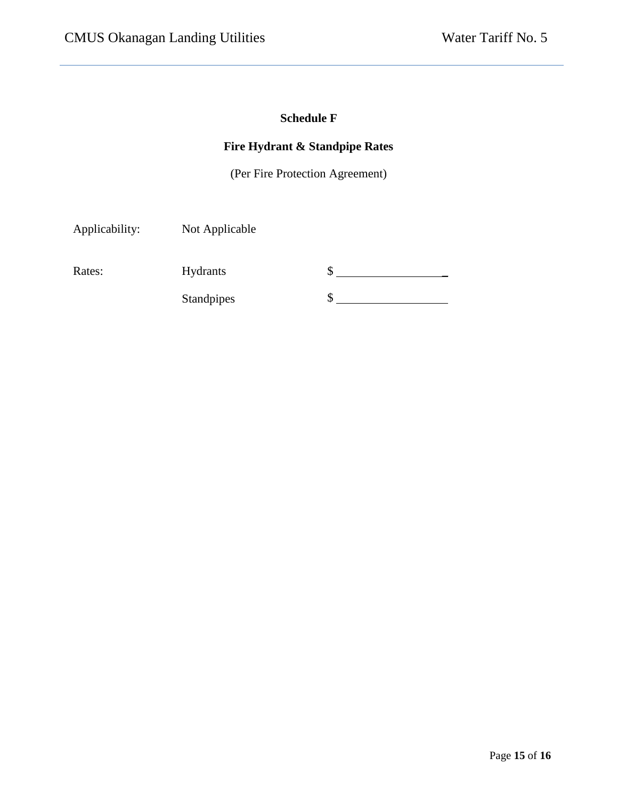# **Schedule F**

# **Fire Hydrant & Standpipe Rates**

(Per Fire Protection Agreement)

Applicability: Not Applicable Rates: Hydrants Standpipes  $\frac{1}{2}$  $\frac{1}{2}$